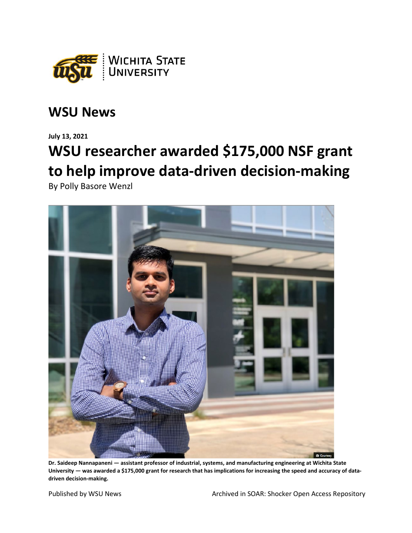

## **WSU News**

**July 13, 2021**

## **WSU researcher awarded \$175,000 NSF grant to help improve data-driven decision-making**

By Polly Basore Wenzl



**Dr. Saideep Nannapaneni — assistant professor of industrial, systems, and manufacturing engineering at Wichita State University — was awarded a \$175,000 grant for research that has implications for increasing the speed and accuracy of datadriven decision-making.**